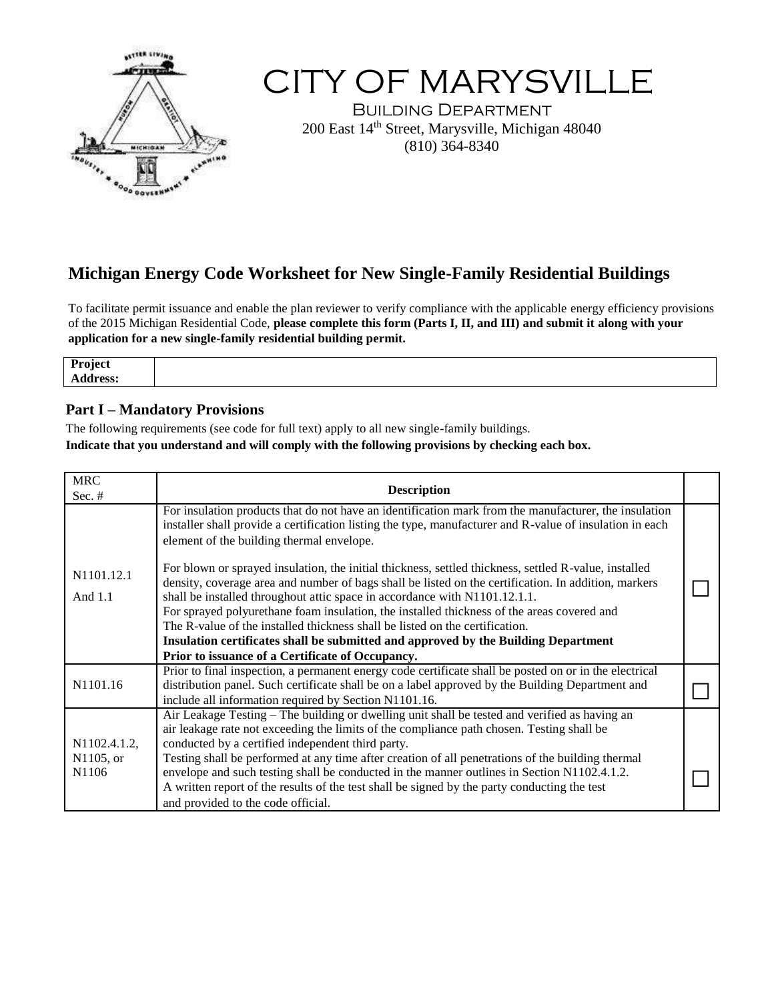

# CITY OF MARYSVILLE

Building Department 200 East 14th Street, Marysville, Michigan 48040 (810) 364-8340

# **Michigan Energy Code Worksheet for New Single-Family Residential Buildings**

To facilitate permit issuance and enable the plan reviewer to verify compliance with the applicable energy efficiency provisions of the 2015 Michigan Residential Code, **please complete this form (Parts I, II, and III) and submit it along with your application for a new single-family residential building permit.**

## **Part I – Mandatory Provisions**

The following requirements (see code for full text) apply to all new single-family buildings. **Indicate that you understand and will comply with the following provisions by checking each box.**

| <b>MRC</b><br>Sec. $#$             | <b>Description</b>                                                                                                                                                                                                                                                                                                                                                                                                                                                                                                                                                                                                  |  |
|------------------------------------|---------------------------------------------------------------------------------------------------------------------------------------------------------------------------------------------------------------------------------------------------------------------------------------------------------------------------------------------------------------------------------------------------------------------------------------------------------------------------------------------------------------------------------------------------------------------------------------------------------------------|--|
|                                    | For insulation products that do not have an identification mark from the manufacturer, the insulation<br>installer shall provide a certification listing the type, manufacturer and R-value of insulation in each<br>element of the building thermal envelope.                                                                                                                                                                                                                                                                                                                                                      |  |
| N1101.12.1<br>And $1.1$            | For blown or sprayed insulation, the initial thickness, settled thickness, settled R-value, installed<br>density, coverage area and number of bags shall be listed on the certification. In addition, markers<br>shall be installed throughout attic space in accordance with N1101.12.1.1.<br>For sprayed polyurethane foam insulation, the installed thickness of the areas covered and<br>The R-value of the installed thickness shall be listed on the certification.<br>Insulation certificates shall be submitted and approved by the Building Department<br>Prior to issuance of a Certificate of Occupancy. |  |
| N1101.16                           | Prior to final inspection, a permanent energy code certificate shall be posted on or in the electrical<br>distribution panel. Such certificate shall be on a label approved by the Building Department and<br>include all information required by Section N1101.16.                                                                                                                                                                                                                                                                                                                                                 |  |
| N1102.4.1.2,<br>N1105, or<br>N1106 | Air Leakage Testing – The building or dwelling unit shall be tested and verified as having an<br>air leakage rate not exceeding the limits of the compliance path chosen. Testing shall be<br>conducted by a certified independent third party.<br>Testing shall be performed at any time after creation of all penetrations of the building thermal<br>envelope and such testing shall be conducted in the manner outlines in Section N1102.4.1.2.<br>A written report of the results of the test shall be signed by the party conducting the test<br>and provided to the code official.                           |  |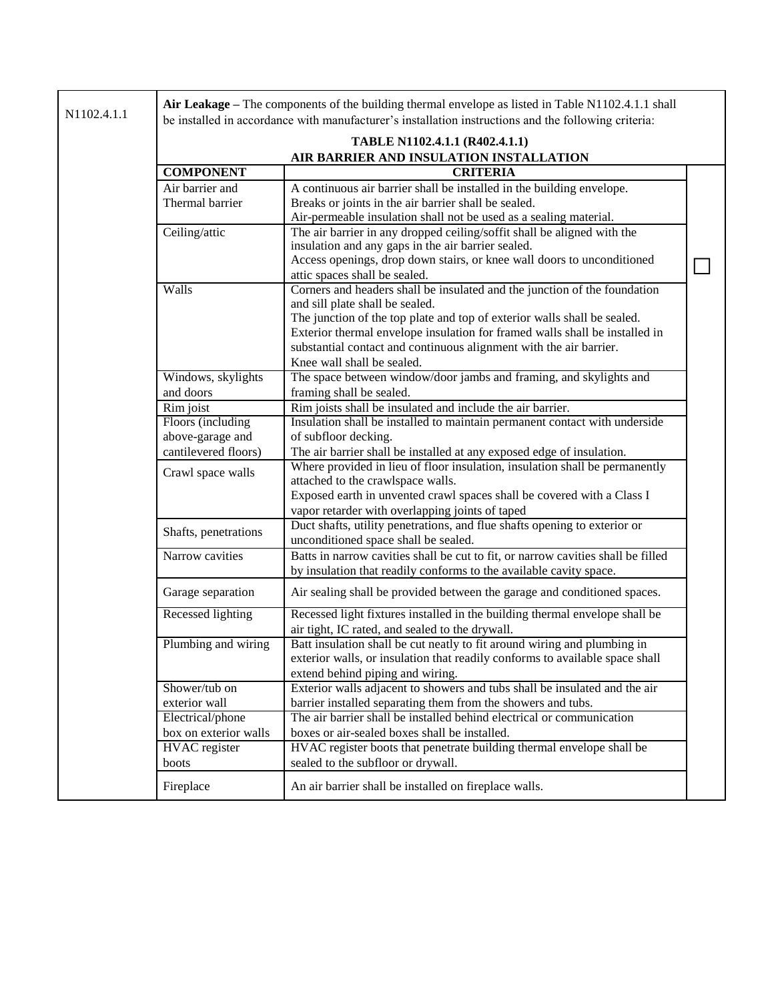| N1102.4.1.1 | Air Leakage - The components of the building thermal envelope as listed in Table N1102.4.1.1 shall<br>be installed in accordance with manufacturer's installation instructions and the following criteria: |                                                                                                                                                                                                                                                                                                                                                                                                              |  |  |
|-------------|------------------------------------------------------------------------------------------------------------------------------------------------------------------------------------------------------------|--------------------------------------------------------------------------------------------------------------------------------------------------------------------------------------------------------------------------------------------------------------------------------------------------------------------------------------------------------------------------------------------------------------|--|--|
|             |                                                                                                                                                                                                            | TABLE N1102.4.1.1 (R402.4.1.1)<br>AIR BARRIER AND INSULATION INSTALLATION                                                                                                                                                                                                                                                                                                                                    |  |  |
|             | <b>COMPONENT</b>                                                                                                                                                                                           | <b>CRITERIA</b>                                                                                                                                                                                                                                                                                                                                                                                              |  |  |
|             | Air barrier and<br>Thermal barrier                                                                                                                                                                         | A continuous air barrier shall be installed in the building envelope.<br>Breaks or joints in the air barrier shall be sealed.                                                                                                                                                                                                                                                                                |  |  |
|             | Ceiling/attic                                                                                                                                                                                              | Air-permeable insulation shall not be used as a sealing material.<br>The air barrier in any dropped ceiling/soffit shall be aligned with the<br>insulation and any gaps in the air barrier sealed.<br>Access openings, drop down stairs, or knee wall doors to unconditioned                                                                                                                                 |  |  |
|             | Walls                                                                                                                                                                                                      | attic spaces shall be sealed.<br>Corners and headers shall be insulated and the junction of the foundation<br>and sill plate shall be sealed.<br>The junction of the top plate and top of exterior walls shall be sealed.<br>Exterior thermal envelope insulation for framed walls shall be installed in<br>substantial contact and continuous alignment with the air barrier.<br>Knee wall shall be sealed. |  |  |
|             | Windows, skylights<br>and doors                                                                                                                                                                            | The space between window/door jambs and framing, and skylights and<br>framing shall be sealed.                                                                                                                                                                                                                                                                                                               |  |  |
|             | Rim joist                                                                                                                                                                                                  | Rim joists shall be insulated and include the air barrier.                                                                                                                                                                                                                                                                                                                                                   |  |  |
|             | Floors (including<br>above-garage and<br>cantilevered floors)                                                                                                                                              | Insulation shall be installed to maintain permanent contact with underside<br>of subfloor decking.<br>The air barrier shall be installed at any exposed edge of insulation.                                                                                                                                                                                                                                  |  |  |
|             | Crawl space walls                                                                                                                                                                                          | Where provided in lieu of floor insulation, insulation shall be permanently<br>attached to the crawlspace walls.<br>Exposed earth in unvented crawl spaces shall be covered with a Class I<br>vapor retarder with overlapping joints of taped                                                                                                                                                                |  |  |
|             | Shafts, penetrations                                                                                                                                                                                       | Duct shafts, utility penetrations, and flue shafts opening to exterior or<br>unconditioned space shall be sealed.                                                                                                                                                                                                                                                                                            |  |  |
|             | Narrow cavities                                                                                                                                                                                            | Batts in narrow cavities shall be cut to fit, or narrow cavities shall be filled<br>by insulation that readily conforms to the available cavity space.                                                                                                                                                                                                                                                       |  |  |
|             | Garage separation                                                                                                                                                                                          | Air sealing shall be provided between the garage and conditioned spaces.                                                                                                                                                                                                                                                                                                                                     |  |  |
|             | <b>Recessed lighting</b>                                                                                                                                                                                   | Recessed light fixtures installed in the building thermal envelope shall be<br>air tight, IC rated, and sealed to the drywall.                                                                                                                                                                                                                                                                               |  |  |
|             | Plumbing and wiring                                                                                                                                                                                        | Batt insulation shall be cut neatly to fit around wiring and plumbing in<br>exterior walls, or insulation that readily conforms to available space shall<br>extend behind piping and wiring.                                                                                                                                                                                                                 |  |  |
|             | Shower/tub on<br>exterior wall                                                                                                                                                                             | Exterior walls adjacent to showers and tubs shall be insulated and the air<br>barrier installed separating them from the showers and tubs.                                                                                                                                                                                                                                                                   |  |  |
|             | Electrical/phone<br>box on exterior walls                                                                                                                                                                  | The air barrier shall be installed behind electrical or communication<br>boxes or air-sealed boxes shall be installed.                                                                                                                                                                                                                                                                                       |  |  |
|             | <b>HVAC</b> register<br>boots                                                                                                                                                                              | HVAC register boots that penetrate building thermal envelope shall be<br>sealed to the subfloor or drywall.                                                                                                                                                                                                                                                                                                  |  |  |
|             | Fireplace                                                                                                                                                                                                  | An air barrier shall be installed on fireplace walls.                                                                                                                                                                                                                                                                                                                                                        |  |  |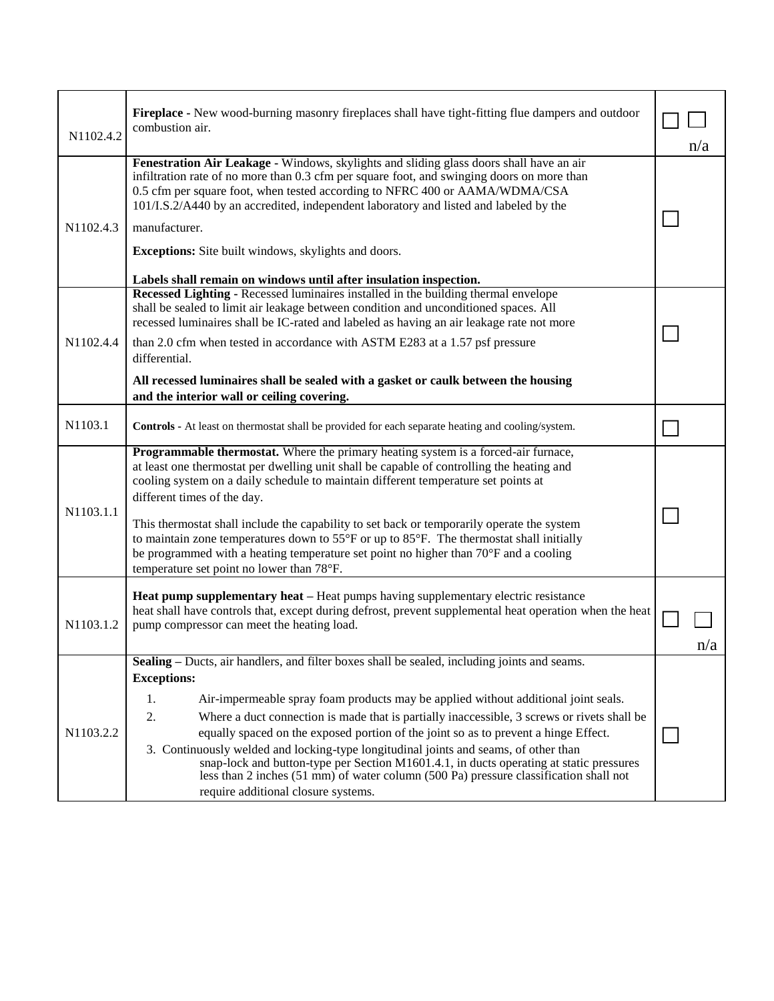| N1102.4.2 | Fireplace - New wood-burning masonry fireplaces shall have tight-fitting flue dampers and outdoor<br>combustion air.                                                                                                                                                                                                                                                                                                                                                                                                                                                                                                                                    |  |     |
|-----------|---------------------------------------------------------------------------------------------------------------------------------------------------------------------------------------------------------------------------------------------------------------------------------------------------------------------------------------------------------------------------------------------------------------------------------------------------------------------------------------------------------------------------------------------------------------------------------------------------------------------------------------------------------|--|-----|
| N1102.4.3 | Fenestration Air Leakage - Windows, skylights and sliding glass doors shall have an air<br>infiltration rate of no more than 0.3 cfm per square foot, and swinging doors on more than<br>0.5 cfm per square foot, when tested according to NFRC 400 or AAMA/WDMA/CSA<br>101/I.S.2/A440 by an accredited, independent laboratory and listed and labeled by the<br>manufacturer.<br>Exceptions: Site built windows, skylights and doors.                                                                                                                                                                                                                  |  |     |
|           | Labels shall remain on windows until after insulation inspection.                                                                                                                                                                                                                                                                                                                                                                                                                                                                                                                                                                                       |  |     |
| N1102.4.4 | Recessed Lighting - Recessed luminaires installed in the building thermal envelope<br>shall be sealed to limit air leakage between condition and unconditioned spaces. All<br>recessed luminaires shall be IC-rated and labeled as having an air leakage rate not more<br>than 2.0 cfm when tested in accordance with ASTM E283 at a 1.57 psf pressure                                                                                                                                                                                                                                                                                                  |  |     |
|           | differential.                                                                                                                                                                                                                                                                                                                                                                                                                                                                                                                                                                                                                                           |  |     |
|           | All recessed luminaires shall be sealed with a gasket or caulk between the housing<br>and the interior wall or ceiling covering.                                                                                                                                                                                                                                                                                                                                                                                                                                                                                                                        |  |     |
| N1103.1   | <b>Controls - At least on thermostat shall be provided for each separate heating and cooling/system.</b>                                                                                                                                                                                                                                                                                                                                                                                                                                                                                                                                                |  |     |
| N1103.1.1 | Programmable thermostat. Where the primary heating system is a forced-air furnace,<br>at least one thermostat per dwelling unit shall be capable of controlling the heating and<br>cooling system on a daily schedule to maintain different temperature set points at<br>different times of the day.<br>This thermostat shall include the capability to set back or temporarily operate the system<br>to maintain zone temperatures down to $55^{\circ}$ F or up to $85^{\circ}$ F. The thermostat shall initially<br>be programmed with a heating temperature set point no higher than 70°F and a cooling<br>temperature set point no lower than 78°F. |  |     |
| N1103.1.2 | <b>Heat pump supplementary heat</b> – Heat pumps having supplementary electric resistance<br>heat shall have controls that, except during defrost, prevent supplemental heat operation when the heat<br>pump compressor can meet the heating load.                                                                                                                                                                                                                                                                                                                                                                                                      |  | n/a |
| N1103.2.2 | <b>Sealing</b> – Ducts, air handlers, and filter boxes shall be sealed, including joints and seams.                                                                                                                                                                                                                                                                                                                                                                                                                                                                                                                                                     |  |     |
|           | <b>Exceptions:</b>                                                                                                                                                                                                                                                                                                                                                                                                                                                                                                                                                                                                                                      |  |     |
|           | Air-impermeable spray foam products may be applied without additional joint seals.<br>1.                                                                                                                                                                                                                                                                                                                                                                                                                                                                                                                                                                |  |     |
|           | 2.<br>Where a duct connection is made that is partially inaccessible, 3 screws or rivets shall be                                                                                                                                                                                                                                                                                                                                                                                                                                                                                                                                                       |  |     |
|           | equally spaced on the exposed portion of the joint so as to prevent a hinge Effect.                                                                                                                                                                                                                                                                                                                                                                                                                                                                                                                                                                     |  |     |
|           | 3. Continuously welded and locking-type longitudinal joints and seams, of other than<br>snap-lock and button-type per Section M1601.4.1, in ducts operating at static pressures<br>less than 2 inches (51 mm) of water column (500 Pa) pressure classification shall not<br>require additional closure systems.                                                                                                                                                                                                                                                                                                                                         |  |     |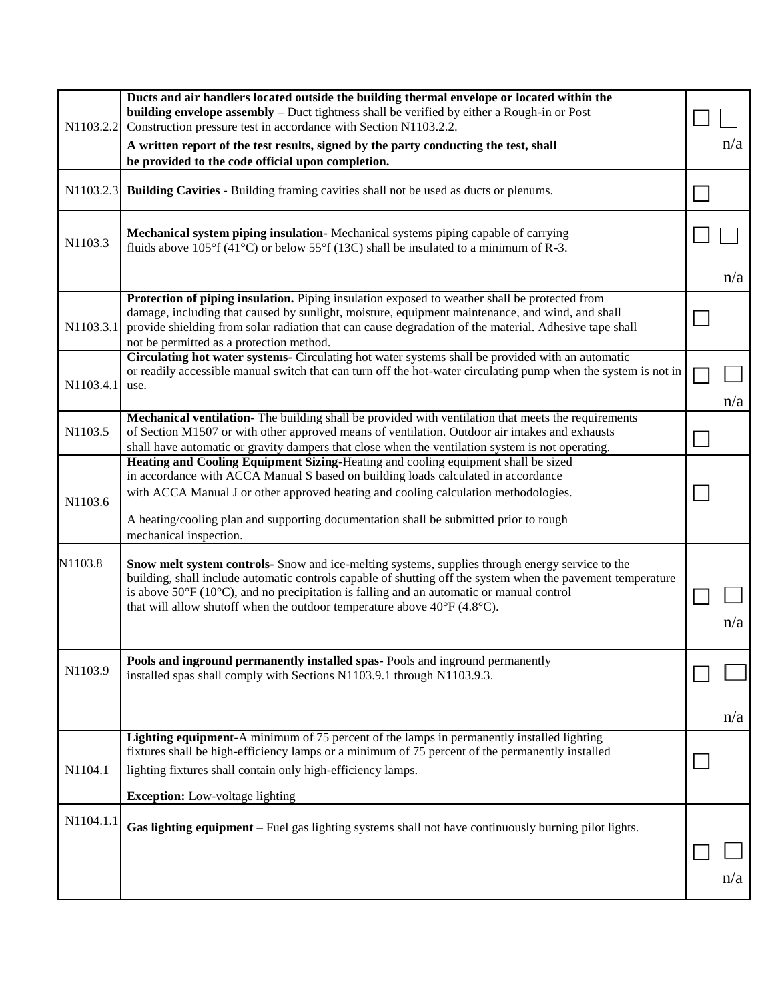| N1103.2.2 | Ducts and air handlers located outside the building thermal envelope or located within the<br>building envelope assembly - Duct tightness shall be verified by either a Rough-in or Post<br>Construction pressure test in accordance with Section N1103.2.2.<br>A written report of the test results, signed by the party conducting the test, shall<br>be provided to the code official upon completion.                        | n/a |
|-----------|----------------------------------------------------------------------------------------------------------------------------------------------------------------------------------------------------------------------------------------------------------------------------------------------------------------------------------------------------------------------------------------------------------------------------------|-----|
| N1103.2.3 | <b>Building Cavities - Building framing cavities shall not be used as ducts or plenums.</b>                                                                                                                                                                                                                                                                                                                                      |     |
| N1103.3   | Mechanical system piping insulation-Mechanical systems piping capable of carrying<br>fluids above $105^{\circ}$ f (41°C) or below 55°f (13C) shall be insulated to a minimum of R-3.                                                                                                                                                                                                                                             |     |
|           |                                                                                                                                                                                                                                                                                                                                                                                                                                  | n/a |
| N1103.3.1 | Protection of piping insulation. Piping insulation exposed to weather shall be protected from<br>damage, including that caused by sunlight, moisture, equipment maintenance, and wind, and shall<br>provide shielding from solar radiation that can cause degradation of the material. Adhesive tape shall<br>not be permitted as a protection method.                                                                           |     |
| N1103.4.1 | Circulating hot water systems- Circulating hot water systems shall be provided with an automatic<br>or readily accessible manual switch that can turn off the hot-water circulating pump when the system is not in<br>use.                                                                                                                                                                                                       | n/a |
| N1103.5   | Mechanical ventilation- The building shall be provided with ventilation that meets the requirements<br>of Section M1507 or with other approved means of ventilation. Outdoor air intakes and exhausts<br>shall have automatic or gravity dampers that close when the ventilation system is not operating.                                                                                                                        |     |
| N1103.6   | Heating and Cooling Equipment Sizing-Heating and cooling equipment shall be sized<br>in accordance with ACCA Manual S based on building loads calculated in accordance<br>with ACCA Manual J or other approved heating and cooling calculation methodologies.<br>A heating/cooling plan and supporting documentation shall be submitted prior to rough<br>mechanical inspection.                                                 |     |
| N1103.8   | Snow melt system controls- Snow and ice-melting systems, supplies through energy service to the<br>building, shall include automatic controls capable of shutting off the system when the pavement temperature<br>is above $50^{\circ}$ F (10 $^{\circ}$ C), and no precipitation is falling and an automatic or manual control<br>that will allow shutoff when the outdoor temperature above $40^{\circ}$ F (4.8 $^{\circ}$ C). | n/a |
| N1103.9   | Pools and inground permanently installed spas-Pools and inground permanently<br>installed spas shall comply with Sections N1103.9.1 through N1103.9.3.                                                                                                                                                                                                                                                                           | n/a |
| N1104.1   | <b>Lighting equipment-A</b> minimum of 75 percent of the lamps in permanently installed lighting<br>fixtures shall be high-efficiency lamps or a minimum of 75 percent of the permanently installed<br>lighting fixtures shall contain only high-efficiency lamps.                                                                                                                                                               |     |
|           | <b>Exception:</b> Low-voltage lighting                                                                                                                                                                                                                                                                                                                                                                                           |     |
| N1104.1.1 | Gas lighting equipment – Fuel gas lighting systems shall not have continuously burning pilot lights.                                                                                                                                                                                                                                                                                                                             | n/a |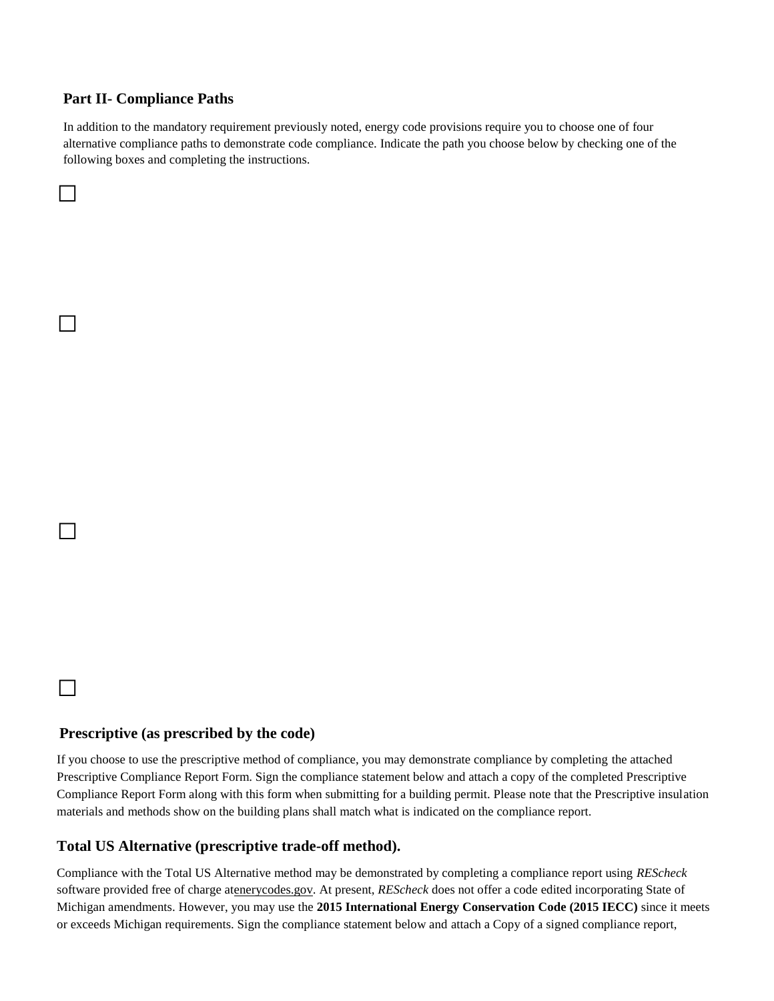### **Part II- Compliance Paths**

□

□

□

□

In addition to the mandatory requirement previously noted, energy code provisions require you to choose one of four alternative compliance paths to demonstrate code compliance. Indicate the path you choose below by checking one of the following boxes and completing the instructions.

### **Prescriptive (as prescribed by the code)**

If you choose to use the prescriptive method of compliance, you may demonstrate compliance by completing the attached Prescriptive Compliance Report Form. Sign the compliance statement below and attach a copy of the completed Prescriptive Compliance Report Form along with this form when submitting for a building permit. Please note that the Prescriptive insulation materials and methods show on the building plans shall match what is indicated on the compliance report.

#### **Total US Alternative (prescriptive trade-off method).**

Compliance with the Total US Alternative method may be demonstrated by completing a compliance report using *REScheck* software provided free of charge atenerycodes.gov. At present, *REScheck* does not offer a code edited incorporating State of Michigan amendments. However, you may use the **2015 International Energy Conservation Code (2015 IECC)** since it meets or exceeds Michigan requirements. Sign the compliance statement below and attach a Copy of a signed compliance report,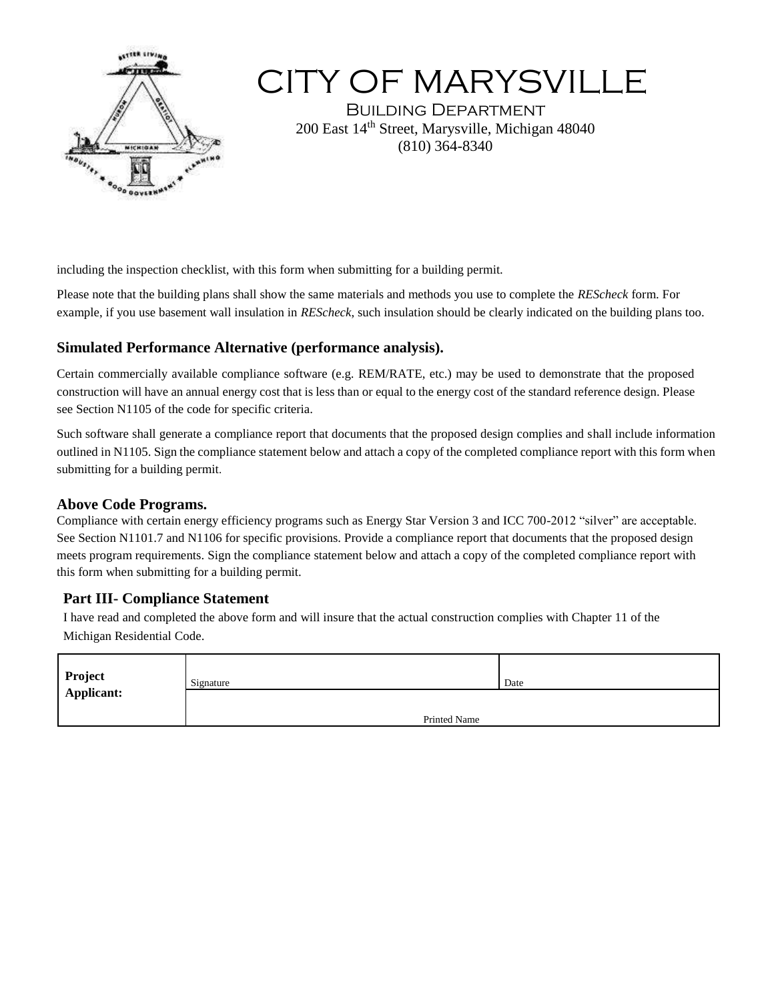

# CITY OF MARYSVILLE

Building Department 200 East 14th Street, Marysville, Michigan 48040 (810) 364-8340

including the inspection checklist, with this form when submitting for a building permit.

Please note that the building plans shall show the same materials and methods you use to complete the *REScheck* form. For example, if you use basement wall insulation in *REScheck*, such insulation should be clearly indicated on the building plans too.

## **Simulated Performance Alternative (performance analysis).**

Certain commercially available compliance software (e.g. REM/RATE, etc.) may be used to demonstrate that the proposed construction will have an annual energy cost that is less than or equal to the energy cost of the standard reference design. Please see Section N1105 of the code for specific criteria.

Such software shall generate a compliance report that documents that the proposed design complies and shall include information outlined in N1105. Sign the compliance statement below and attach a copy of the completed compliance report with this form when submitting for a building permit.

### **Above Code Programs.**

Compliance with certain energy efficiency programs such as Energy Star Version 3 and ICC 700-2012 "silver" are acceptable. See Section N1101.7 and N1106 for specific provisions. Provide a compliance report that documents that the proposed design meets program requirements. Sign the compliance statement below and attach a copy of the completed compliance report with this form when submitting for a building permit.

## **Part III- Compliance Statement**

I have read and completed the above form and will insure that the actual construction complies with Chapter 11 of the Michigan Residential Code.

| Project           | Signature    | Date |
|-------------------|--------------|------|
| <b>Applicant:</b> |              |      |
|                   |              |      |
|                   | Printed Name |      |